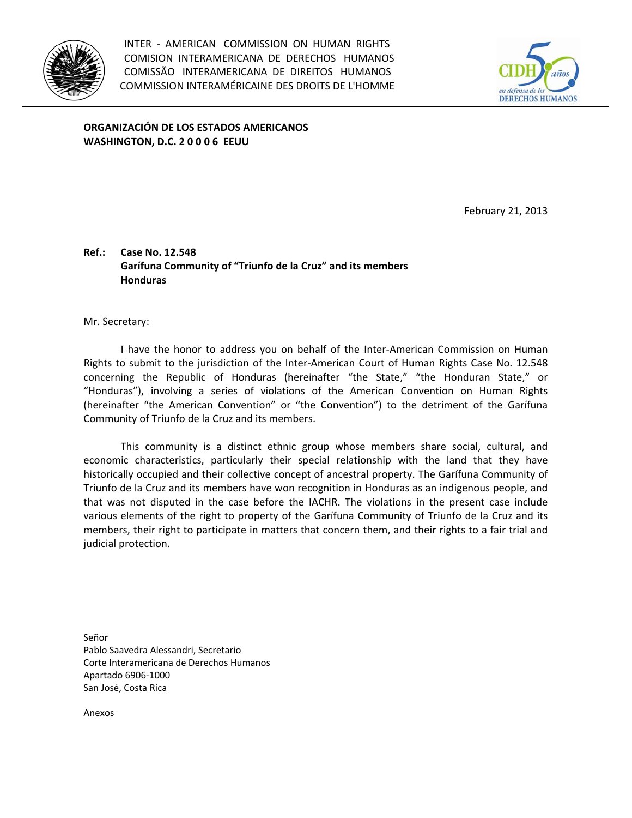



**ORGANIZACIÓN DE LOS ESTADOS AMERICANOS WASHINGTON, D.C. 2 0 0 0 6 EEUU**

February 21, 2013

## **Ref.: Case No. 12.548 Garífuna Community of "Triunfo de la Cruz" and its members Honduras**

Mr. Secretary:

I have the honor to address you on behalf of the Inter‐American Commission on Human Rights to submit to the jurisdiction of the Inter‐American Court of Human Rights Case No. 12.548 concerning the Republic of Honduras (hereinafter "the State," "the Honduran State," or "Honduras"), involving a series of violations of the American Convention on Human Rights (hereinafter "the American Convention" or "the Convention") to the detriment of the Garífuna Community of Triunfo de la Cruz and its members.

This community is a distinct ethnic group whose members share social, cultural, and economic characteristics, particularly their special relationship with the land that they have historically occupied and their collective concept of ancestral property. The Garífuna Community of Triunfo de la Cruz and its members have won recognition in Honduras as an indigenous people, and that was not disputed in the case before the IACHR. The violations in the present case include various elements of the right to property of the Garífuna Community of Triunfo de la Cruz and its members, their right to participate in matters that concern them, and their rights to a fair trial and judicial protection.

Señor Pablo Saavedra Alessandri, Secretario Corte Interamericana de Derechos Humanos Apartado 6906‐1000 San José, Costa Rica

Anexos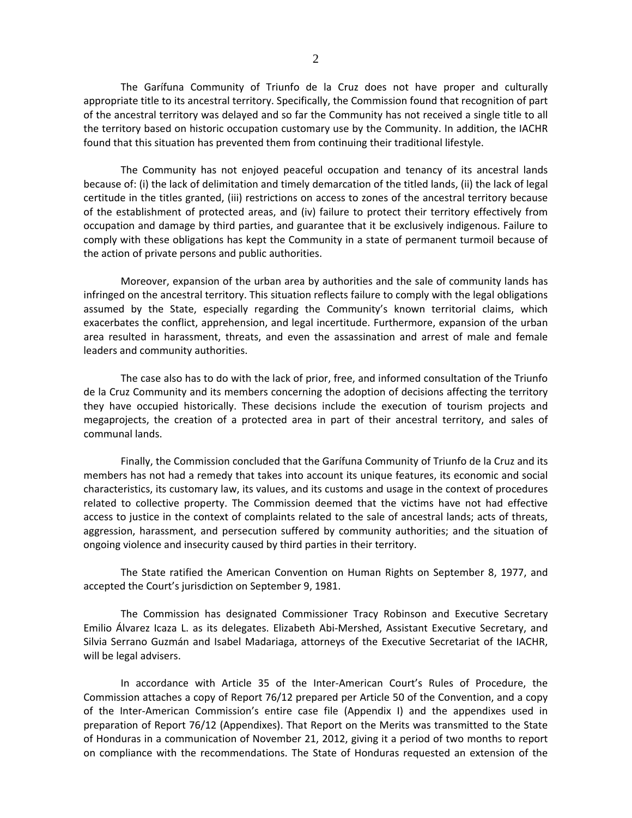The Garífuna Community of Triunfo de la Cruz does not have proper and culturally appropriate title to its ancestral territory. Specifically, the Commission found that recognition of part of the ancestral territory was delayed and so far the Community has not received a single title to all the territory based on historic occupation customary use by the Community. In addition, the IACHR found that this situation has prevented them from continuing their traditional lifestyle.

The Community has not enjoyed peaceful occupation and tenancy of its ancestral lands because of: (i) the lack of delimitation and timely demarcation of the titled lands, (ii) the lack of legal certitude in the titles granted, (iii) restrictions on access to zones of the ancestral territory because of the establishment of protected areas, and (iv) failure to protect their territory effectively from occupation and damage by third parties, and guarantee that it be exclusively indigenous. Failure to comply with these obligations has kept the Community in a state of permanent turmoil because of the action of private persons and public authorities.

Moreover, expansion of the urban area by authorities and the sale of community lands has infringed on the ancestral territory. This situation reflects failure to comply with the legal obligations assumed by the State, especially regarding the Community's known territorial claims, which exacerbates the conflict, apprehension, and legal incertitude. Furthermore, expansion of the urban area resulted in harassment, threats, and even the assassination and arrest of male and female leaders and community authorities.

The case also has to do with the lack of prior, free, and informed consultation of the Triunfo de la Cruz Community and its members concerning the adoption of decisions affecting the territory they have occupied historically. These decisions include the execution of tourism projects and megaprojects, the creation of a protected area in part of their ancestral territory, and sales of communal lands.

Finally, the Commission concluded that the Garífuna Community of Triunfo de la Cruz and its members has not had a remedy that takes into account its unique features, its economic and social characteristics, its customary law, its values, and its customs and usage in the context of procedures related to collective property. The Commission deemed that the victims have not had effective access to justice in the context of complaints related to the sale of ancestral lands; acts of threats, aggression, harassment, and persecution suffered by community authorities; and the situation of ongoing violence and insecurity caused by third parties in their territory.

The State ratified the American Convention on Human Rights on September 8, 1977, and accepted the Court's jurisdiction on September 9, 1981.

The Commission has designated Commissioner Tracy Robinson and Executive Secretary Emilio Álvarez Icaza L. as its delegates. Elizabeth Abi‐Mershed, Assistant Executive Secretary, and Silvia Serrano Guzmán and Isabel Madariaga, attorneys of the Executive Secretariat of the IACHR, will be legal advisers.

In accordance with Article 35 of the Inter-American Court's Rules of Procedure, the Commission attaches a copy of Report 76/12 prepared per Article 50 of the Convention, and a copy of the Inter‐American Commission's entire case file (Appendix I) and the appendixes used in preparation of Report 76/12 (Appendixes). That Report on the Merits was transmitted to the State of Honduras in a communication of November 21, 2012, giving it a period of two months to report on compliance with the recommendations. The State of Honduras requested an extension of the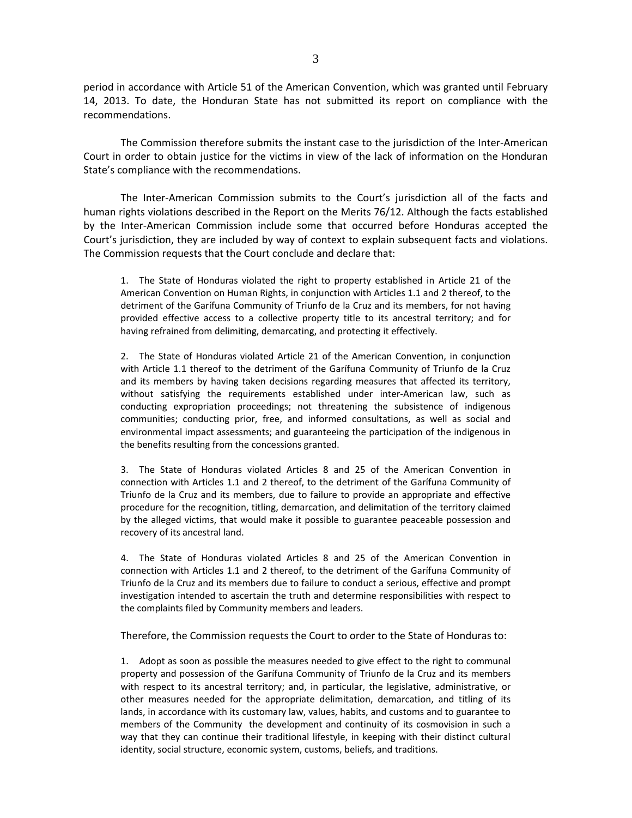period in accordance with Article 51 of the American Convention, which was granted until February 14, 2013. To date, the Honduran State has not submitted its report on compliance with the recommendations.

The Commission therefore submits the instant case to the jurisdiction of the Inter‐American Court in order to obtain justice for the victims in view of the lack of information on the Honduran State's compliance with the recommendations.

The Inter-American Commission submits to the Court's jurisdiction all of the facts and human rights violations described in the Report on the Merits 76/12. Although the facts established by the Inter‐American Commission include some that occurred before Honduras accepted the Court's jurisdiction, they are included by way of context to explain subsequent facts and violations. The Commission requests that the Court conclude and declare that:

1. The State of Honduras violated the right to property established in Article 21 of the American Convention on Human Rights, in conjunction with Articles 1.1 and 2 thereof, to the detriment of the Garífuna Community of Triunfo de la Cruz and its members, for not having provided effective access to a collective property title to its ancestral territory; and for having refrained from delimiting, demarcating, and protecting it effectively.

2. The State of Honduras violated Article 21 of the American Convention, in conjunction with Article 1.1 thereof to the detriment of the Garífuna Community of Triunfo de la Cruz and its members by having taken decisions regarding measures that affected its territory, without satisfying the requirements established under inter-American law, such as conducting expropriation proceedings; not threatening the subsistence of indigenous communities; conducting prior, free, and informed consultations, as well as social and environmental impact assessments; and guaranteeing the participation of the indigenous in the benefits resulting from the concessions granted.

3. The State of Honduras violated Articles 8 and 25 of the American Convention in connection with Articles 1.1 and 2 thereof, to the detriment of the Garífuna Community of Triunfo de la Cruz and its members, due to failure to provide an appropriate and effective procedure for the recognition, titling, demarcation, and delimitation of the territory claimed by the alleged victims, that would make it possible to guarantee peaceable possession and recovery of its ancestral land.

4. The State of Honduras violated Articles 8 and 25 of the American Convention in connection with Articles 1.1 and 2 thereof, to the detriment of the Garífuna Community of Triunfo de la Cruz and its members due to failure to conduct a serious, effective and prompt investigation intended to ascertain the truth and determine responsibilities with respect to the complaints filed by Community members and leaders.

Therefore, the Commission requests the Court to order to the State of Honduras to:

1. Adopt as soon as possible the measures needed to give effect to the right to communal property and possession of the Garífuna Community of Triunfo de la Cruz and its members with respect to its ancestral territory; and, in particular, the legislative, administrative, or other measures needed for the appropriate delimitation, demarcation, and titling of its lands, in accordance with its customary law, values, habits, and customs and to guarantee to members of the Community the development and continuity of its cosmovision in such a way that they can continue their traditional lifestyle, in keeping with their distinct cultural identity, social structure, economic system, customs, beliefs, and traditions.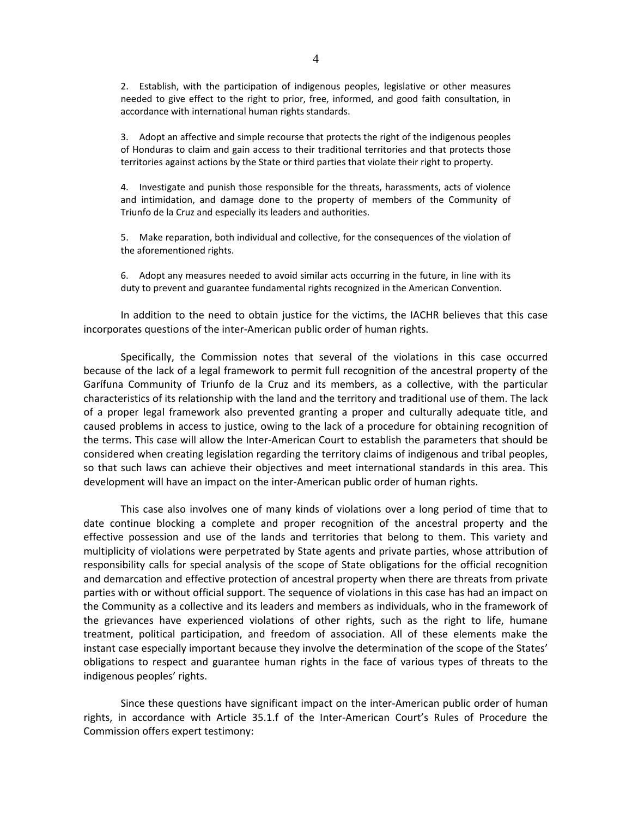2. Establish, with the participation of indigenous peoples, legislative or other measures needed to give effect to the right to prior, free, informed, and good faith consultation, in accordance with international human rights standards.

3. Adopt an affective and simple recourse that protects the right of the indigenous peoples of Honduras to claim and gain access to their traditional territories and that protects those territories against actions by the State or third parties that violate their right to property.

4. Investigate and punish those responsible for the threats, harassments, acts of violence and intimidation, and damage done to the property of members of the Community of Triunfo de la Cruz and especially its leaders and authorities.

5. Make reparation, both individual and collective, for the consequences of the violation of the aforementioned rights.

6. Adopt any measures needed to avoid similar acts occurring in the future, in line with its duty to prevent and guarantee fundamental rights recognized in the American Convention.

In addition to the need to obtain justice for the victims, the IACHR believes that this case incorporates questions of the inter‐American public order of human rights.

Specifically, the Commission notes that several of the violations in this case occurred because of the lack of a legal framework to permit full recognition of the ancestral property of the Garífuna Community of Triunfo de la Cruz and its members, as a collective, with the particular characteristics of its relationship with the land and the territory and traditional use of them. The lack of a proper legal framework also prevented granting a proper and culturally adequate title, and caused problems in access to justice, owing to the lack of a procedure for obtaining recognition of the terms. This case will allow the Inter‐American Court to establish the parameters that should be considered when creating legislation regarding the territory claims of indigenous and tribal peoples, so that such laws can achieve their objectives and meet international standards in this area. This development will have an impact on the inter‐American public order of human rights.

This case also involves one of many kinds of violations over a long period of time that to date continue blocking a complete and proper recognition of the ancestral property and the effective possession and use of the lands and territories that belong to them. This variety and multiplicity of violations were perpetrated by State agents and private parties, whose attribution of responsibility calls for special analysis of the scope of State obligations for the official recognition and demarcation and effective protection of ancestral property when there are threats from private parties with or without official support. The sequence of violations in this case has had an impact on the Community as a collective and its leaders and members as individuals, who in the framework of the grievances have experienced violations of other rights, such as the right to life, humane treatment, political participation, and freedom of association. All of these elements make the instant case especially important because they involve the determination of the scope of the States' obligations to respect and guarantee human rights in the face of various types of threats to the indigenous peoples' rights.

Since these questions have significant impact on the inter‐American public order of human rights, in accordance with Article 35.1.f of the Inter‐American Court's Rules of Procedure the Commission offers expert testimony: